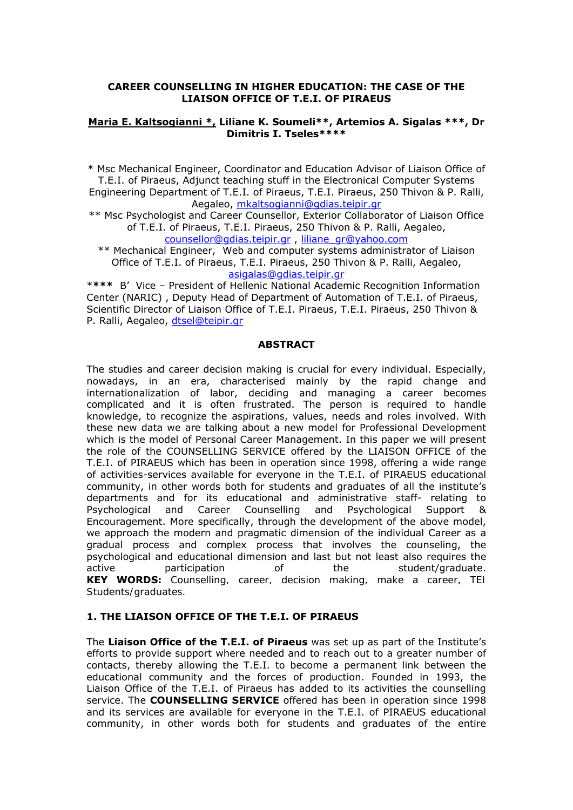#### **CAREER COUNSELLING IN HIGHER EDUCATION: THE CASE OF THE LIAISON OFFICE OF T.E.I. OF PIRAEUS**

#### **Maria E. Kaltsogianni \*, Liliane K. Soumeli\*\*, Artemios A. Sigalas \*\*\*, Dr Dimitris I. Tseles\*\*\*\***

\* Msc Mechanical Engineer, Coordinator and Education Advisor of Liaison Office of T.E.I. of Piraeus, Adjunct teaching stuff in the Electronical Computer Systems

Engineering Department of Τ.Ε.Ι. of Piraeus, T.E.I. Piraeus, 250 Thivon & P. Ralli, Aegaleo, mkaltsogianni@gdias.teipir.gr

\*\* Msc Psychologist and Career Counsellor, Exterior Collaborator of Liaison Office of T.E.I. of Piraeus, T.E.I. Piraeus, 250 Thivon & P. Ralli, Aegaleo, counsellor@gdias.teipir.gr , liliane\_gr@yahoo.com

\*\* Mechanical Engineer, Web and computer systems administrator of Liaison Office of T.E.I. of Piraeus, T.E.I. Piraeus, 250 Thivon & P. Ralli, Aegaleo, asigalas@gdias.teipir.gr

\***\*\*\*** B' Vice – President of Hellenic National Academic Recognition Information Center (NARIC) , Deputy Head of Department of Automation of T.E.I. of Piraeus, Scientific Director of Liaison Office of T.E.I. Piraeus, T.E.I. Piraeus, 250 Thivon & P. Ralli, Aegaleo, dtsel@teipir.gr

#### **ABSTRACT**

The studies and career decision making is crucial for every individual. Especially, nowadays, in an era, characterised mainly by the rapid change and internationalization of labor, deciding and managing a career becomes complicated and it is often frustrated. The person is required to handle knowledge, to recognize the aspirations, values, needs and roles involved. With these new data we are talking about a new model for Professional Development which is the model of Personal Career Management. In this paper we will present the role of the COUNSELLING SERVICE offered by the LIAISON OFFICE of the Τ.Ε.Ι. of PIRAEUS which has been in operation since 1998, offering a wide range of activities-services available for everyone in the T.E.I. of PIRAEUS educational community, in other words both for students and graduates of all the institute's departments and for its educational and administrative staff- relating to Psychological and Career Counselling and Psychological Support & Encouragement. More specifically, through the development of the above model, we approach the modern and pragmatic dimension of the individual Career as a gradual process and complex process that involves the counseling, the psychological and educational dimension and last but not least also requires the active participation of the student/graduate. **KEY WORDS:** *Counselling, career, decision making, make a career, TEI Students/graduates.*

## **1. THE LIAISON OFFICE OF THE T.E.I. OF PIRAEUS**

The **Liaison Office of the Τ.Ε.Ι. of Piraeus** was set up as part of the Institute's efforts to provide support where needed and to reach out to a greater number of contacts, thereby allowing the T.E.I. to become a permanent link between the educational community and the forces of production. Founded in 1993, the Liaison Office of the T.E.I. of Piraeus has added to its activities the counselling service. The **COUNSELLING SERVICE** offered has been in operation since 1998 and its services are available for everyone in the T.E.I. of PIRAEUS educational community, in other words both for students and graduates of the entire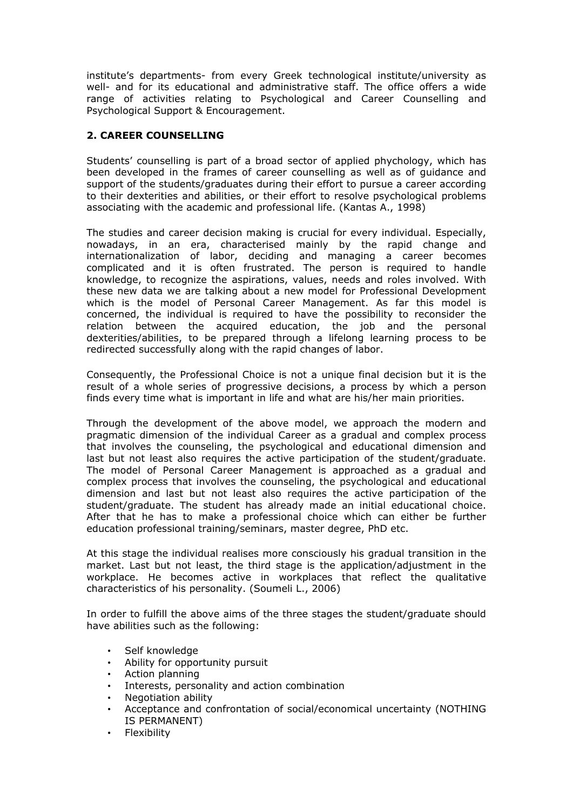institute's departments- from every Greek technological institute/university as well- and for its educational and administrative staff. The office offers a wide range of activities relating to Psychological and Career Counselling and Psychological Support & Encouragement.

# **2. CAREER COUNSELLING**

Students' counselling is part of a broad sector of applied phychology, which has been developed in the frames of career counselling as well as of guidance and support of the students/graduates during their effort to pursue a career according to their dexterities and abilities, or their effort to resolve psychological problems associating with the academic and professional life. (Kantas A., 1998)

The studies and career decision making is crucial for every individual. Especially, nowadays, in an era, characterised mainly by the rapid change and internationalization of labor, deciding and managing a career becomes complicated and it is often frustrated. The person is required to handle knowledge, to recognize the aspirations, values, needs and roles involved. With these new data we are talking about a new model for Professional Development which is the model of Personal Career Management. As far this model is concerned, the individual is required to have the possibility to reconsider the relation between the acquired education, the job and the personal dexterities/abilities, to be prepared through a lifelong learning process to be redirected successfully along with the rapid changes of labor.

Consequently, the Professional Choice is not a unique final decision but it is the result of a whole series of progressive decisions, a process by which a person finds every time what is important in life and what are his/her main priorities.

Through the development of the above model, we approach the modern and pragmatic dimension of the individual Career as a gradual and complex process that involves the counseling, the psychological and educational dimension and last but not least also requires the active participation of the student/graduate. The model of Personal Career Management is approached as a gradual and complex process that involves the counseling, the psychological and educational dimension and last but not least also requires the active participation of the student/graduate. The student has already made an initial educational choice. After that he has to make a professional choice which can either be further education professional training/seminars, master degree, PhD etc.

At this stage the individual realises more consciously his gradual transition in the market. Last but not least, the third stage is the application/adjustment in the workplace. He becomes active in workplaces that reflect the qualitative characteristics of his personality. (Soumeli L., 2006)

In order to fulfill the above aims of the three stages the student/graduate should have abilities such as the following:

- Self knowledge
- Ability for opportunity pursuit
- Action planning
- Interests, personality and action combination
- Negotiation ability
- Acceptance and confrontation of social/economical uncertainty (NOTHING IS PERMANENT)
- Flexibility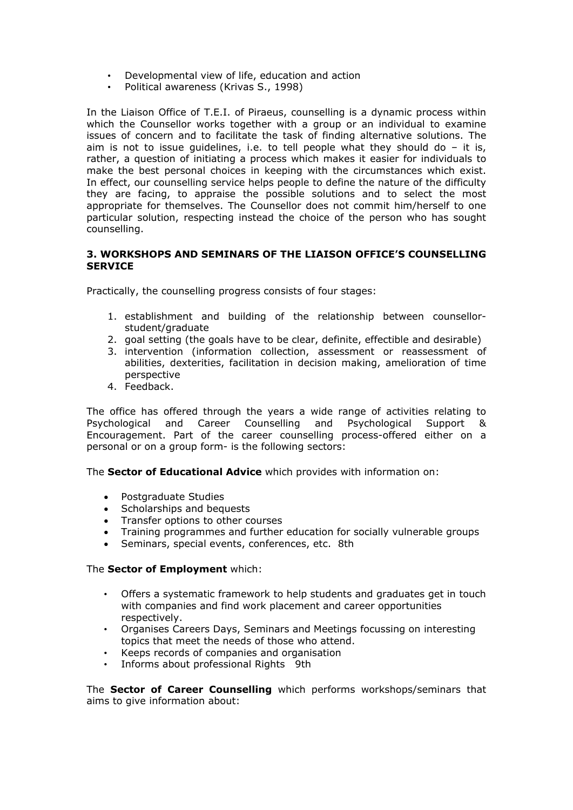- Developmental view of life, education and action
- Political awareness (Krivas S., 1998)

In the Liaison Office of T.E.I. of Piraeus, counselling is a dynamic process within which the Counsellor works together with a group or an individual to examine issues of concern and to facilitate the task of finding alternative solutions. The aim is not to issue guidelines, i.e. to tell people what they should do  $-$  it is, rather, a question of initiating a process which makes it easier for individuals to make the best personal choices in keeping with the circumstances which exist. In effect, our counselling service helps people to define the nature of the difficulty they are facing, to appraise the possible solutions and to select the most appropriate for themselves. The Counsellor does not commit him/herself to one particular solution, respecting instead the choice of the person who has sought counselling.

### **3. WORKSHOPS AND SEMINARS OF THE LIAISON OFFICE'S COUNSELLING SERVICE**

Practically, the counselling progress consists of four stages:

- 1. establishment and building of the relationship between counsellorstudent/graduate
- 2. goal setting (the goals have to be clear, definite, effectible and desirable)
- 3. intervention (information collection, assessment or reassessment of abilities, dexterities, facilitation in decision making, amelioration of time perspective
- 4. Feedback.

The office has offered through the years a wide range of activities relating to Psychological and Career Counselling and Psychological Support & Encouragement. Part of the career counselling process-offered either on a personal or on a group form- is the following sectors:

The **Sector of Educational Advice** which provides with information on:

- Postgraduate Studies
- Scholarships and bequests
- Transfer options to other courses
- Training programmes and further education for socially vulnerable groups
- Seminars, special events, conferences, etc. 8th

#### The **Sector of Employment** which:

- Offers a systematic framework to help students and graduates get in touch with companies and find work placement and career opportunities respectively.
- Organises Careers Days, Seminars and Meetings focussing on interesting topics that meet the needs of those who attend.
- Keeps records of companies and organisation
- Informs about professional Rights 9th

The **Sector of Career Counselling** which performs workshops/seminars that aims to give information about: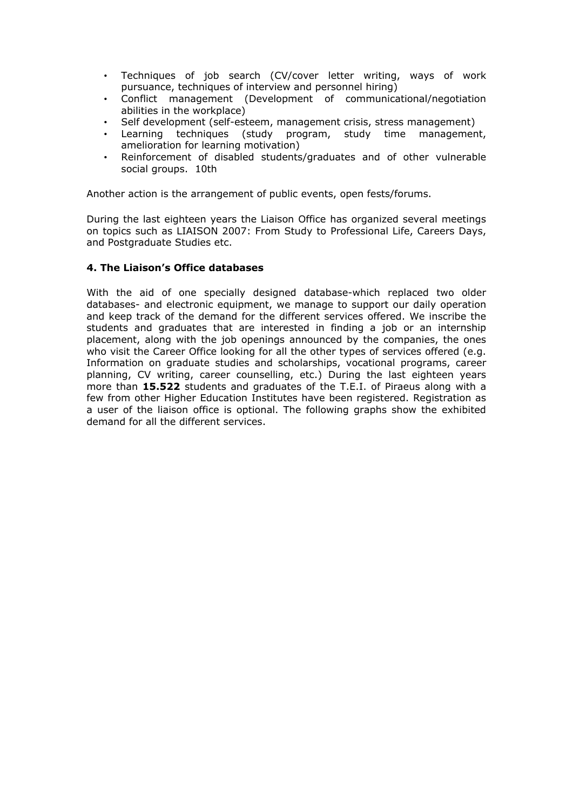- Techniques of job search (CV/cover letter writing, ways of work pursuance, techniques of interview and personnel hiring)
- Conflict management (Development of communicational/negotiation abilities in the workplace)
- Self development (self-esteem, management crisis, stress management)
- Learning techniques (study program, study time management, amelioration for learning motivation)
- Reinforcement of disabled students/graduates and of other vulnerable social groups. 10th

Another action is the arrangement of public events, open fests/forums.

During the last eighteen years the Liaison Office has organized several meetings on topics such as LIAISON 2007: From Study to Professional Life, Careers Days, and Postgraduate Studies etc.

#### **4. The Liaison's Office databases**

With the aid of one specially designed database-which replaced two older databases- and electronic equipment, we manage to support our daily operation and keep track of the demand for the different services offered. We inscribe the students and graduates that are interested in finding a job or an internship placement, along with the job openings announced by the companies, the ones who visit the Career Office looking for all the other types of services offered (e.g. Information on graduate studies and scholarships, vocational programs, career planning, CV writing, career counselling, etc.) During the last eighteen years more than **15.522** students and graduates of the T.E.I. of Piraeus along with a few from other Higher Education Institutes have been registered. Registration as a user of the liaison office is optional. The following graphs show the exhibited demand for all the different services.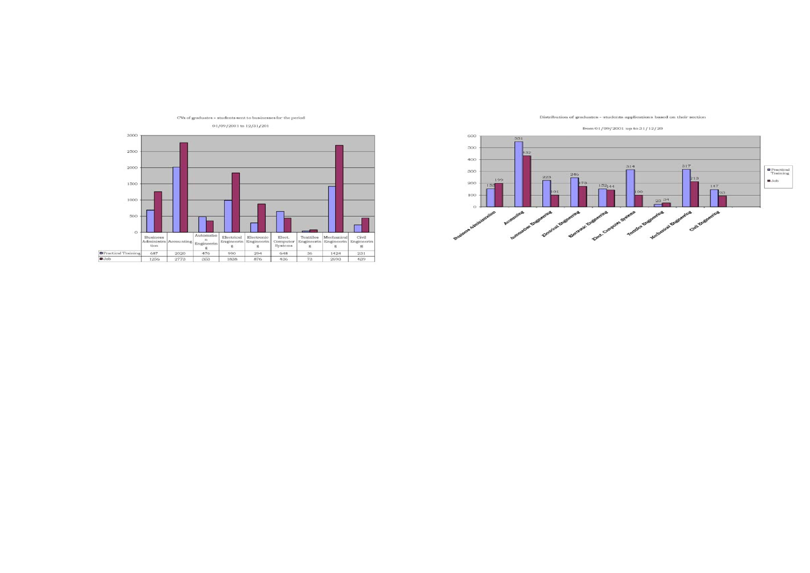

Distribution of graduates - students applications based on their section

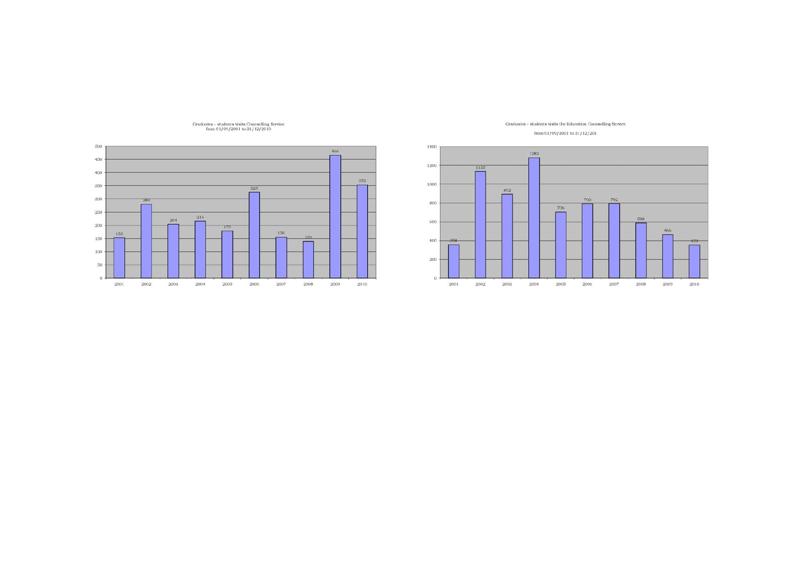

Graduates - students visits Counselling Service<br>from 01/09/2001 to 31/12/2010



Graduates - students visits the Education Counselling Service from 01/09/2001 to 31/12/201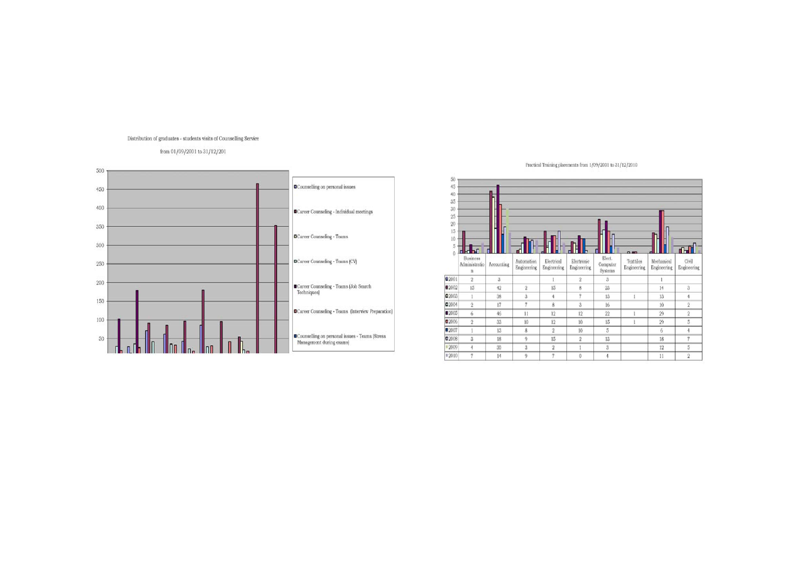#### Distribution of graduates - students visits of Counselling Service

#### from 01/09/2001 to 31/12/201



Practical Training placements from 1/09/2001 to 31/12/2010

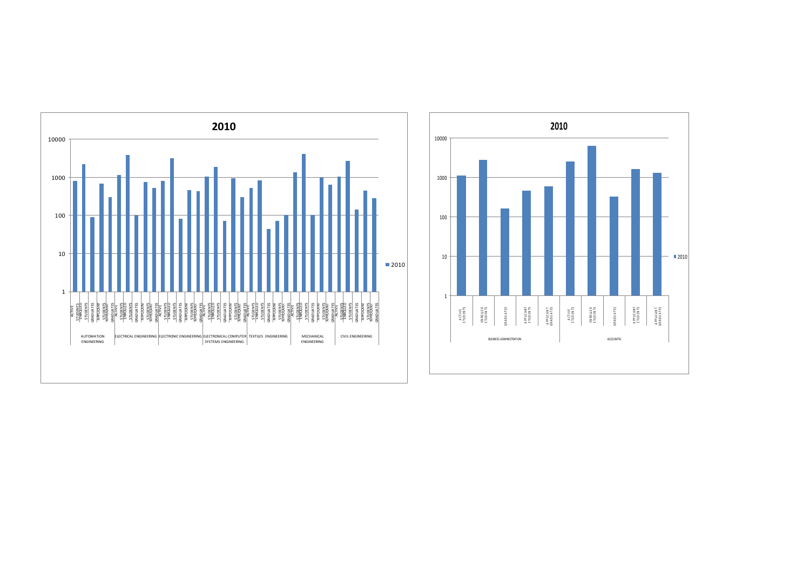

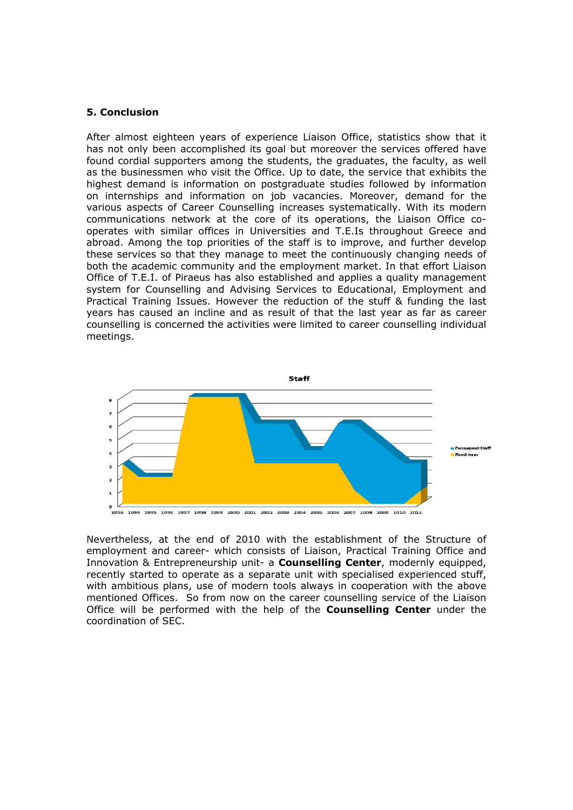#### **5. Conclusion**

After almost eighteen years of experience Liaison Office, statistics show that it has not only been accomplished its goal but moreover the services offered have found cordial supporters among the students, the graduates, the faculty, as well as the businessmen who visit the Office. Up to date, the service that exhibits the highest demand is information on postgraduate studies followed by information on internships and information on job vacancies. Moreover, demand for the various aspects of Career Counselling increases systematically. With its modern communications network at the core of its operations, the Liaison Office cooperates with similar offices in Universities and T.E.Is throughout Greece and abroad. Among the top priorities of the staff is to improve, and further develop these services so that they manage to meet the continuously changing needs of both the academic community and the employment market. In that effort Liaison Office of T.E.I. of Piraeus has also established and applies a quality management system for Counselling and Advising Services to Educational, Employment and Practical Training Issues. However the reduction of the stuff & funding the last years has caused an incline and as result of that the last year as far as career counselling is concerned the activities were limited to career counselling individual meetings.



Nevertheless, at the end of 2010 with the establishment of the Structure of employment and career- which consists of Liaison, Practical Training Office and Innovation & Entrepreneurship unit- a **Counselling Center**, modernly equipped, recently started to operate as a separate unit with specialised experienced stuff, with ambitious plans, use of modern tools always in cooperation with the above mentioned Offices. So from now on the career counselling service of the Liaison Office will be performed with the help of the **Counselling Center** under the coordination of SEC.